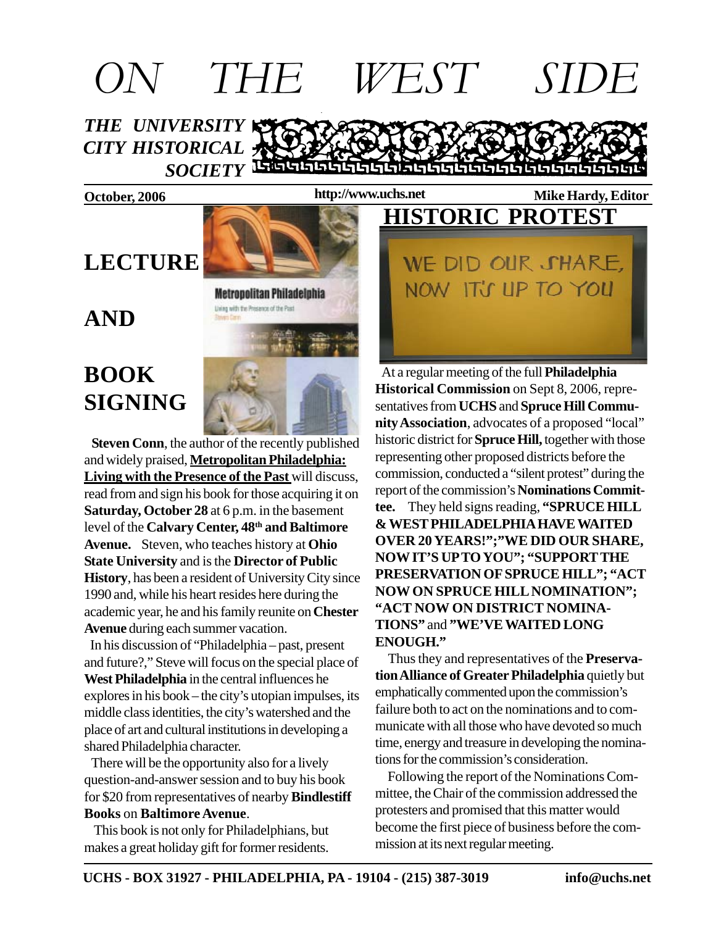# *THE UNIVERSITY CITY HISTORICAL* **SOCIETY** LEGGISLE GLEGE SEGGISLE GLEGE GLEGE *ON THE WEST SIDE*

#### **http://www.uchs.net**

## **LECTURE**

**Metropolitan Philadelphia** Uning with the Presence of the Past



 **Steven Conn**, the author of the recently published and widely praised, **Metropolitan Philadelphia: Living with the Presence of the Past** will discuss, read from and sign his book for those acquiring it on **Saturday, October 28** at 6 p.m. in the basement level of the **Calvary Center, 48th and Baltimore Avenue.** Steven, who teaches history at **Ohio State University** and is the **Director of Public History**, has been a resident of University City since 1990 and, while his heart resides here during the academic year, he and his family reunite on **Chester Avenue** during each summer vacation.

 In his discussion of "Philadelphia – past, present and future?," Steve will focus on the special place of **West Philadelphia** in the central influences he explores in his book – the city's utopian impulses, its middle class identities, the city's watershed and the place of art and cultural institutions in developing a shared Philadelphia character.

 There will be the opportunity also for a lively question-and-answer session and to buy his book for \$20 from representatives of nearby **Bindlestiff Books** on **Baltimore Avenue**.

 This book is not only for Philadelphians, but makes a great holiday gift for former residents.

### **October, 2006 Mike Hardy, Editor Mike Hardy, Editor HISTORIC PROTEST**

WE DID OUR SHARE, NOW IT'S UP TO YOU

 At a regular meeting of the full **Philadelphia Historical Commission** on Sept 8, 2006, representatives from **UCHS** and **Spruce Hill Community Association**, advocates of a proposed "local" historic district for **Spruce Hill,** together with those representing other proposed districts before the commission, conducted a "silent protest" during the report of the commission's **Nominations Committee.** They held signs reading, **"SPRUCE HILL & WEST PHILADELPHIA HAVE WAITED OVER 20 YEARS!";"WE DID OUR SHARE, NOW IT'S UP TO YOU"; "SUPPORT THE PRESERVATION OF SPRUCE HILL"; "ACT NOW ON SPRUCE HILL NOMINATION"; "ACT NOW ON DISTRICT NOMINA-TIONS"** and **"WE'VE WAITED LONG ENOUGH."**

 Thus they and representatives of the **Preservation Alliance of Greater Philadelphia** quietly but emphatically commented upon the commission's failure both to act on the nominations and to communicate with all those who have devoted so much time, energy and treasure in developing the nominations for the commission's consideration.

 Following the report of the Nominations Committee, the Chair of the commission addressed the protesters and promised that this matter would become the first piece of business before the commission at its next regular meeting.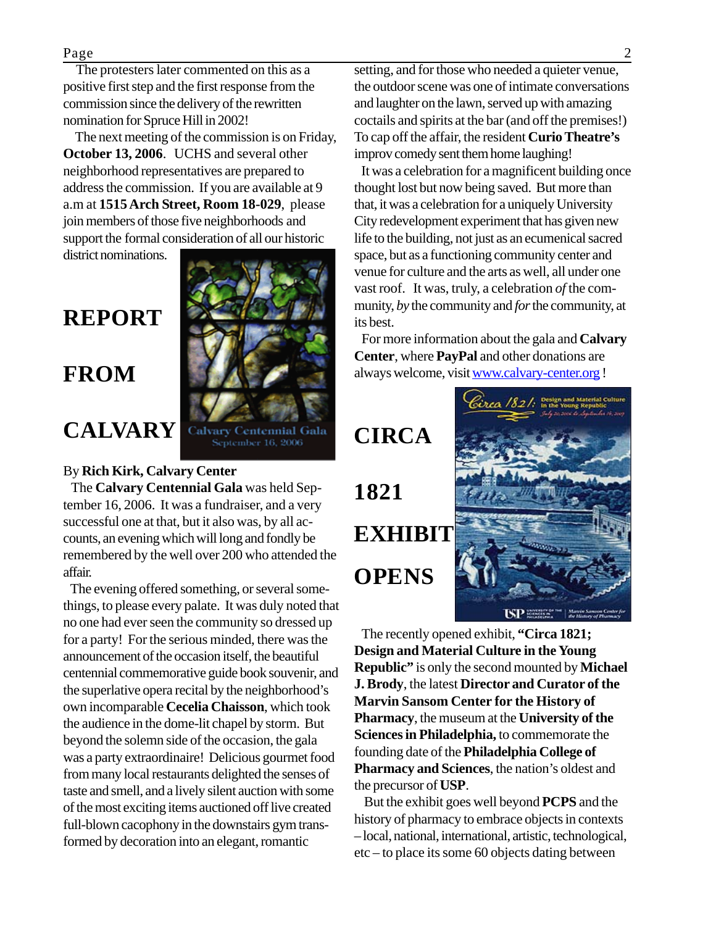#### Page 2

 The protesters later commented on this as a positive first step and the first response from the commission since the delivery of the rewritten nomination for Spruce Hill in 2002!

 The next meeting of the commission is on Friday, **October 13, 2006**. UCHS and several other neighborhood representatives are prepared to address the commission. If you are available at 9 a.m at **1515 Arch Street, Room 18-029**, please join members of those five neighborhoods and support the formal consideration of all our historic

district nominations.

## **REPORT**

### **FROM**

## **CALVARY**



#### By **Rich Kirk, Calvary Center**

 The **Calvary Centennial Gala** was held September 16, 2006. It was a fundraiser, and a very successful one at that, but it also was, by all accounts, an evening which will long and fondly be remembered by the well over 200 who attended the affair.

 The evening offered something, or several somethings, to please every palate. It was duly noted that no one had ever seen the community so dressed up for a party! For the serious minded, there was the announcement of the occasion itself, the beautiful centennial commemorative guide book souvenir, and the superlative opera recital by the neighborhood's own incomparable **Cecelia Chaisson**, which took the audience in the dome-lit chapel by storm. But beyond the solemn side of the occasion, the gala was a party extraordinaire! Delicious gourmet food from many local restaurants delighted the senses of taste and smell, and a lively silent auction with some of the most exciting items auctioned off live created full-blown cacophony in the downstairs gym transformed by decoration into an elegant, romantic

setting, and for those who needed a quieter venue, the outdoor scene was one of intimate conversations and laughter on the lawn, served up with amazing coctails and spirits at the bar (and off the premises!) To cap off the affair, the resident **Curio Theatre's** improv comedy sent them home laughing!

 It was a celebration for a magnificent building once thought lost but now being saved. But more than that, it was a celebration for a uniquely University City redevelopment experiment that has given new life to the building, not just as an ecumenical sacred space, but as a functioning community center and venue for culture and the arts as well, all under one vast roof. It was, truly, a celebration *of* the community, *by* the community and *for* the community, at its best.

 For more information about the gala and **Calvary Center**, where **PayPal** and other donations are always welcome, visit www.calvary-center.org !

### **CIRCA**

**1821 EXHIBIT OPENS**



 The recently opened exhibit, **"Circa 1821; Design and Material Culture in the Young Republic"** is only the second mounted by **Michael J. Brody**, the latest **Director and Curator of the Marvin Sansom Center for the History of Pharmacy**, the museum at the **University of the Sciences in Philadelphia,** to commemorate the founding date of the **Philadelphia College of Pharmacy and Sciences**, the nation's oldest and the precursor of **USP**.

 But the exhibit goes well beyond **PCPS** and the history of pharmacy to embrace objects in contexts – local, national, international, artistic, technological, etc – to place its some 60 objects dating between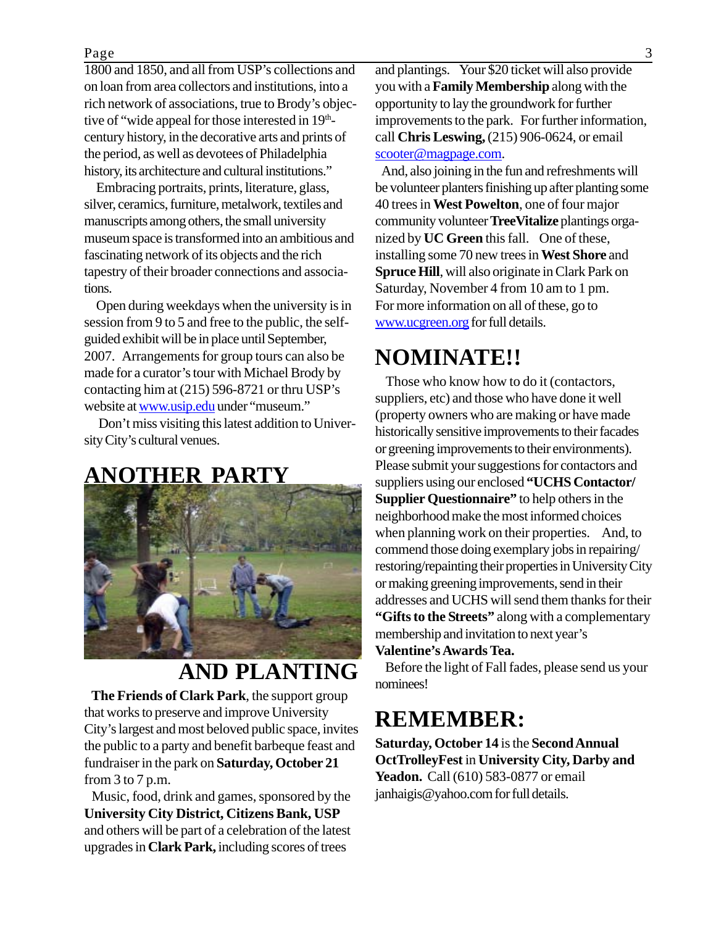#### Page 3

1800 and 1850, and all from USP's collections and on loan from area collectors and institutions, into a rich network of associations, true to Brody's objective of "wide appeal for those interested in  $19<sup>th</sup>$ century history, in the decorative arts and prints of the period, as well as devotees of Philadelphia history, its architecture and cultural institutions."

 Embracing portraits, prints, literature, glass, silver, ceramics, furniture, metalwork, textiles and manuscripts among others, the small university museum space is transformed into an ambitious and fascinating network of its objects and the rich tapestry of their broader connections and associations.

 Open during weekdays when the university is in session from 9 to 5 and free to the public, the selfguided exhibit will be in place until September, 2007. Arrangements for group tours can also be made for a curator's tour with Michael Brody by contacting him at (215) 596-8721 or thru USP's website at www.usip.edu under "museum."

 Don't miss visiting this latest addition to University City's cultural venues.

#### **ANOTHER PARTY**



## **AND PLANTING**

 **The Friends of Clark Park**, the support group that works to preserve and improve University City's largest and most beloved public space, invites the public to a party and benefit barbeque feast and fundraiser in the park on **Saturday, October 21** from  $3$  to  $7$  p.m.

 Music, food, drink and games, sponsored by the **University City District, Citizens Bank, USP** and others will be part of a celebration of the latest upgrades in **Clark Park,** including scores of trees

and plantings. Your \$20 ticket will also provide you with a **Family Membership** along with the opportunity to lay the groundwork for further improvements to the park. For further information, call **Chris Leswing,** (215) 906-0624, or email scooter@magpage.com.

 And, also joining in the fun and refreshments will be volunteer planters finishing up after planting some 40 trees in **West Powelton**, one of four major community volunteer **TreeVitalize** plantings organized by **UC Green** this fall. One of these, installing some 70 new trees in **West Shore** and **Spruce Hill**, will also originate in Clark Park on Saturday, November 4 from 10 am to 1 pm. For more information on all of these, go to www.ucgreen.org for full details.

### **NOMINATE!!**

 Those who know how to do it (contactors, suppliers, etc) and those who have done it well (property owners who are making or have made historically sensitive improvements to their facades or greening improvements to their environments). Please submit your suggestions for contactors and suppliers using our enclosed **"UCHS Contactor/ Supplier Questionnaire"** to help others in the neighborhood make the most informed choices when planning work on their properties. And, to commend those doing exemplary jobs in repairing/ restoring/repainting their properties in University City or making greening improvements, send in their addresses and UCHS will send them thanks for their **"Gifts to the Streets"** along with a complementary membership and invitation to next year's **Valentine's Awards Tea.**

 Before the light of Fall fades, please send us your nominees!

### **REMEMBER:**

**Saturday, October 14** is the **Second Annual OctTrolleyFest** in **University City, Darby and Yeadon.** Call (610) 583-0877 or email janhaigis@yahoo.com for full details.